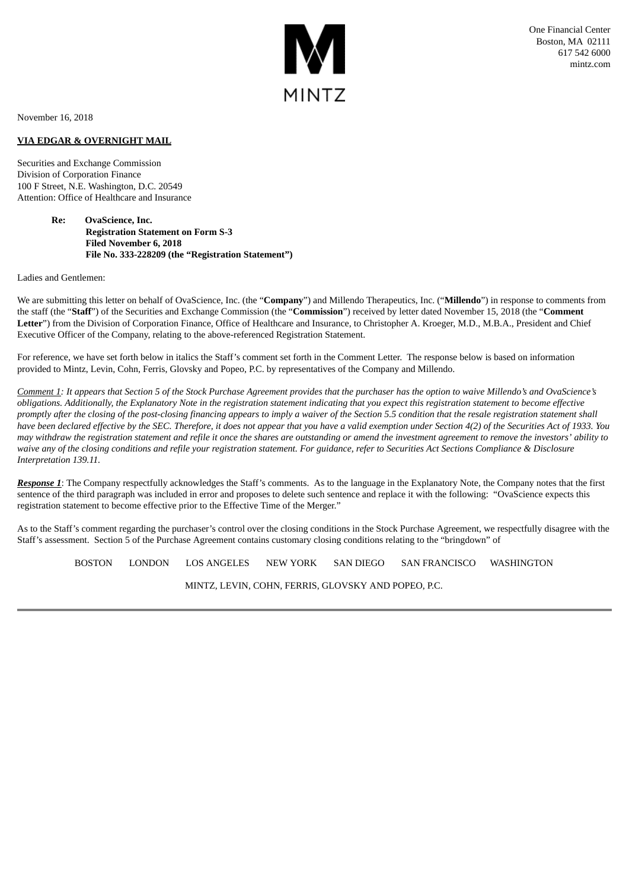

November 16, 2018

## **VIA EDGAR & OVERNIGHT MAIL**

Securities and Exchange Commission Division of Corporation Finance 100 F Street, N.E. Washington, D.C. 20549 Attention: Office of Healthcare and Insurance

> **Re: OvaScience, Inc. Registration Statement on Form S-3 Filed November 6, 2018 File No. 333-228209 (the "Registration Statement")**

## Ladies and Gentlemen:

We are submitting this letter on behalf of OvaScience, Inc. (the "**Company**") and Millendo Therapeutics, Inc. ("**Millendo**") in response to comments from the staff (the "**Staff**") of the Securities and Exchange Commission (the "**Commission**") received by letter dated November 15, 2018 (the "**Comment Letter**") from the Division of Corporation Finance, Office of Healthcare and Insurance, to Christopher A. Kroeger, M.D., M.B.A., President and Chief Executive Officer of the Company, relating to the above-referenced Registration Statement.

For reference, we have set forth below in italics the Staff's comment set forth in the Comment Letter. The response below is based on information provided to Mintz, Levin, Cohn, Ferris, Glovsky and Popeo, P.C. by representatives of the Company and Millendo.

Comment 1: It appears that Section 5 of the Stock Purchase Agreement provides that the purchaser has the option to waive Millendo's and OvaScience's obligations. Additionally, the Explanatory Note in the registration statement indicating that you expect this registration statement to become effective promptly after the closing of the post-closing financing appears to imply a waiver of the Section 5.5 condition that the resale registration statement shall have been declared effective by the SEC. Therefore, it does not appear that you have a valid exemption under Section 4(2) of the Securities Act of 1933. You may withdraw the registration statement and refile it once the shares are outstanding or amend the investment agreement to remove the investors' ability to waive any of the closing conditions and refile your registration statement. For auidance, refer to Securities Act Sections Compliance & Disclosure *Interpretation 139.11.*

*Response 1*: The Company respectfully acknowledges the Staff's comments. As to the language in the Explanatory Note, the Company notes that the first sentence of the third paragraph was included in error and proposes to delete such sentence and replace it with the following: "OvaScience expects this registration statement to become effective prior to the Effective Time of the Merger."

As to the Staff's comment regarding the purchaser's control over the closing conditions in the Stock Purchase Agreement, we respectfully disagree with the Staff's assessment. Section 5 of the Purchase Agreement contains customary closing conditions relating to the "bringdown" of

BOSTON LONDON LOS ANGELES NEW YORK SAN DIEGO SAN FRANCISCO WASHINGTON

MINTZ, LEVIN, COHN, FERRIS, GLOVSKY AND POPEO, P.C.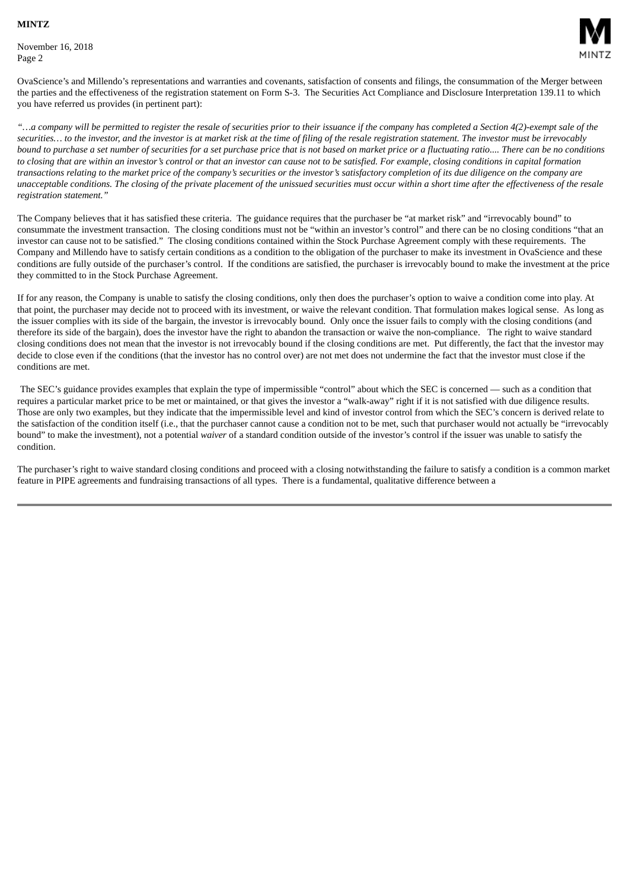November 16, 2018 Page 2



OvaScience's and Millendo's representations and warranties and covenants, satisfaction of consents and filings, the consummation of the Merger between the parties and the effectiveness of the registration statement on Form S-3. The Securities Act Compliance and Disclosure Interpretation 139.11 to which you have referred us provides (in pertinent part):

"...a company will be permitted to register the resale of securities prior to their issuance if the company has completed a Section 4(2)-exempt sale of the securities... to the investor, and the investor is at market risk at the time of filing of the resale registration statement. The investor must be irrevocably bound to purchase a set number of securities for a set purchase price that is not based on market price or a fluctuating ratio.... There can be no conditions to closing that are within an investor's control or that an investor can cause not to be satisfied. For example, closing conditions in capital formation transactions relating to the market price of the company's securities or the investor's satisfactory completion of its due diligence on the company are unacceptable conditions. The closing of the private placement of the unissued securities must occur within a short time after the effectiveness of the resale *registration statement."*

The Company believes that it has satisfied these criteria. The guidance requires that the purchaser be "at market risk" and "irrevocably bound" to consummate the investment transaction. The closing conditions must not be "within an investor's control" and there can be no closing conditions "that an investor can cause not to be satisfied." The closing conditions contained within the Stock Purchase Agreement comply with these requirements. The Company and Millendo have to satisfy certain conditions as a condition to the obligation of the purchaser to make its investment in OvaScience and these conditions are fully outside of the purchaser's control. If the conditions are satisfied, the purchaser is irrevocably bound to make the investment at the price they committed to in the Stock Purchase Agreement.

If for any reason, the Company is unable to satisfy the closing conditions, only then does the purchaser's option to waive a condition come into play. At that point, the purchaser may decide not to proceed with its investment, or waive the relevant condition. That formulation makes logical sense. As long as the issuer complies with its side of the bargain, the investor is irrevocably bound. Only once the issuer fails to comply with the closing conditions (and therefore its side of the bargain), does the investor have the right to abandon the transaction or waive the non-compliance. The right to waive standard closing conditions does not mean that the investor is not irrevocably bound if the closing conditions are met. Put differently, the fact that the investor may decide to close even if the conditions (that the investor has no control over) are not met does not undermine the fact that the investor must close if the conditions are met.

The SEC's guidance provides examples that explain the type of impermissible "control" about which the SEC is concerned — such as a condition that requires a particular market price to be met or maintained, or that gives the investor a "walk-away" right if it is not satisfied with due diligence results. Those are only two examples, but they indicate that the impermissible level and kind of investor control from which the SEC's concern is derived relate to the satisfaction of the condition itself (i.e., that the purchaser cannot cause a condition not to be met, such that purchaser would not actually be "irrevocably bound" to make the investment), not a potential *waiver* of a standard condition outside of the investor's control if the issuer was unable to satisfy the condition.

The purchaser's right to waive standard closing conditions and proceed with a closing notwithstanding the failure to satisfy a condition is a common market feature in PIPE agreements and fundraising transactions of all types. There is a fundamental, qualitative difference between a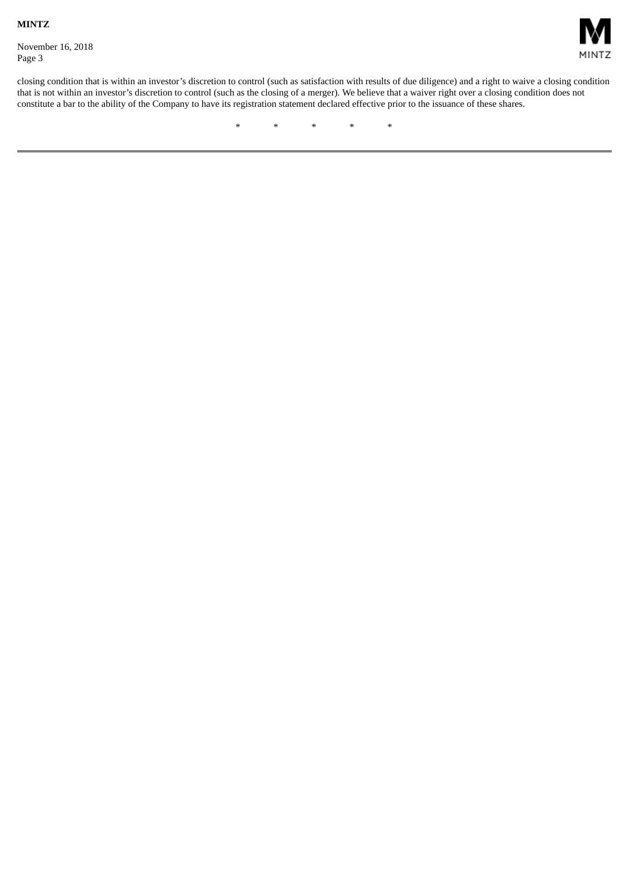November 16, 2018 Page 3



closing condition that is within an investor's discretion to control (such as satisfaction with results of due diligence) and a right to waive a closing condition that is not within an investor's discretion to control (such as the closing of a merger). We believe that a waiver right over a closing condition does not constitute a bar to the ability of the Company to have its registration statement declared effective prior to the issuance of these shares.

\* \* \* \* \*